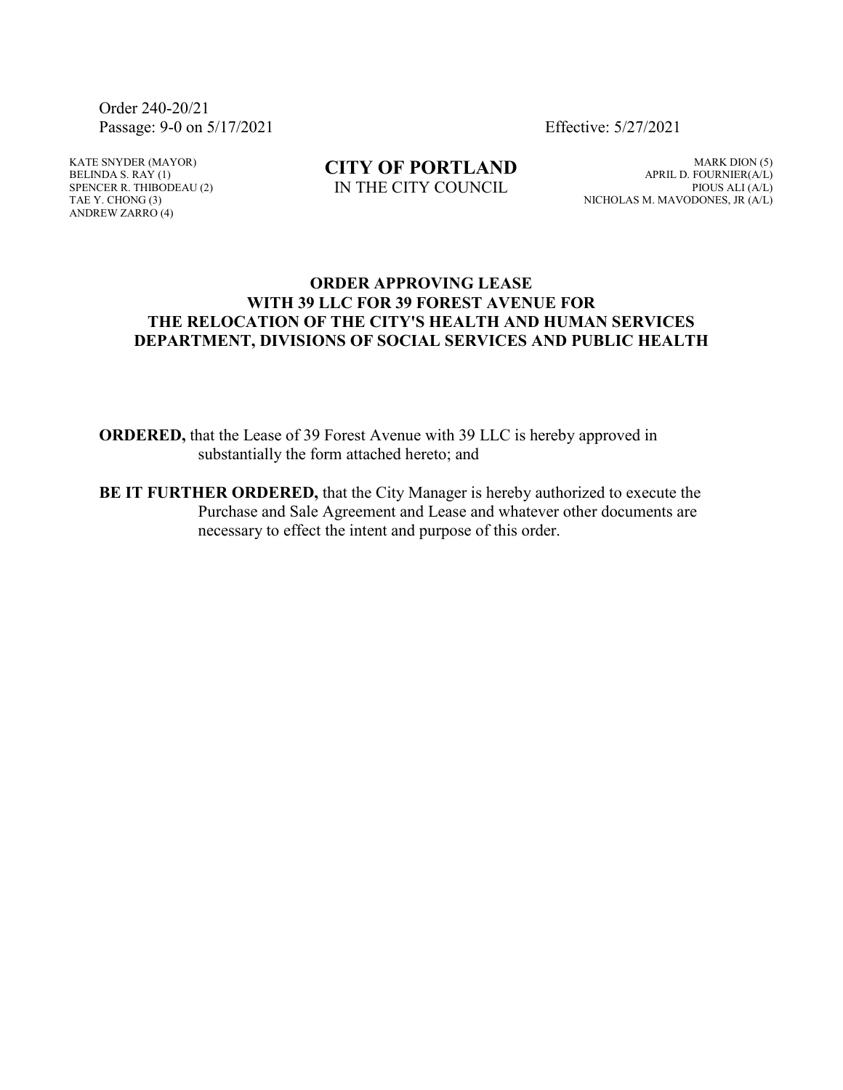Order 240-20/21 Passage: 9-0 on 5/17/2021 Effective: 5/27/2021

KATE SNYDER (MAYOR) BELINDA S. RAY  $(1)$ SPENCER R. THIBODEAU (2) TAE Y. CHONG (3) ANDREW ZARRO (4)

**CITY OF PORTLAND** IN THE CITY COUNCIL

MARK DION (5) APRIL D. FOURNIER(A/L) PIOUS ALI (A/L) NICHOLAS M. MAVODONES, JR (A/L)

## **ORDER APPROVING LEASE WITH 39 LLC FOR 39 FOREST AVENUE FOR THE RELOCATION OF THE CITY'S HEALTH AND HUMAN SERVICES DEPARTMENT, DIVISIONS OF SOCIAL SERVICES AND PUBLIC HEALTH**

**ORDERED,** that the Lease of 39 Forest Avenue with 39 LLC is hereby approved in substantially the form attached hereto; and

**BE IT FURTHER ORDERED,** that the City Manager is hereby authorized to execute the Purchase and Sale Agreement and Lease and whatever other documents are necessary to effect the intent and purpose of this order.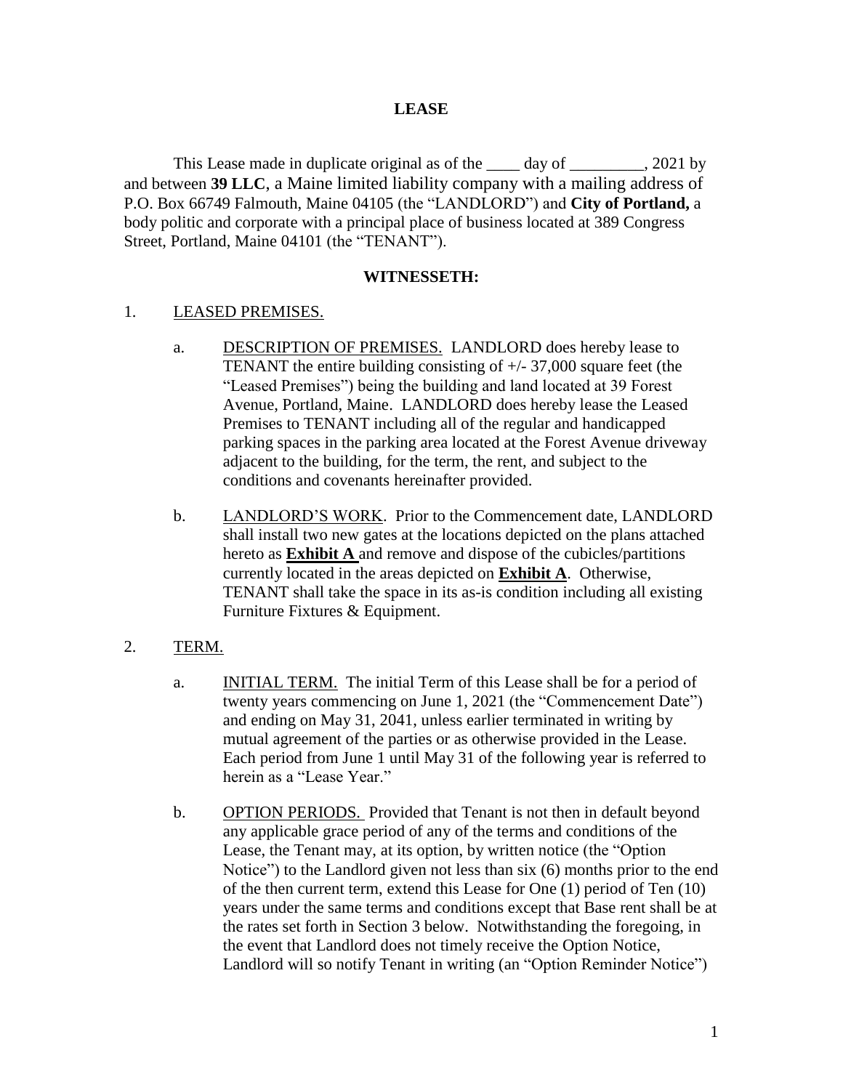#### **LEASE**

This Lease made in duplicate original as of the \_\_\_\_ day of \_\_\_\_\_\_\_\_, 2021 by and between **39 LLC**, a Maine limited liability company with a mailing address of P.O. Box 66749 Falmouth, Maine 04105 (the "LANDLORD") and **City of Portland,** a body politic and corporate with a principal place of business located at 389 Congress Street, Portland, Maine 04101 (the "TENANT").

#### **WITNESSETH:**

#### 1. LEASED PREMISES.

- a. DESCRIPTION OF PREMISES. LANDLORD does hereby lease to TENANT the entire building consisting of +/- 37,000 square feet (the "Leased Premises") being the building and land located at 39 Forest Avenue, Portland, Maine. LANDLORD does hereby lease the Leased Premises to TENANT including all of the regular and handicapped parking spaces in the parking area located at the Forest Avenue driveway adjacent to the building, for the term, the rent, and subject to the conditions and covenants hereinafter provided.
- b. LANDLORD'S WORK. Prior to the Commencement date, LANDLORD shall install two new gates at the locations depicted on the plans attached hereto as **Exhibit A** and remove and dispose of the cubicles/partitions currently located in the areas depicted on **Exhibit A**. Otherwise, TENANT shall take the space in its as-is condition including all existing Furniture Fixtures & Equipment.

## 2. TERM.

- a. INITIAL TERM. The initial Term of this Lease shall be for a period of twenty years commencing on June 1, 2021 (the "Commencement Date") and ending on May 31, 2041, unless earlier terminated in writing by mutual agreement of the parties or as otherwise provided in the Lease. Each period from June 1 until May 31 of the following year is referred to herein as a "Lease Year."
- b. OPTION PERIODS. Provided that Tenant is not then in default beyond any applicable grace period of any of the terms and conditions of the Lease, the Tenant may, at its option, by written notice (the "Option Notice") to the Landlord given not less than six (6) months prior to the end of the then current term, extend this Lease for One (1) period of Ten (10) years under the same terms and conditions except that Base rent shall be at the rates set forth in Section 3 below. Notwithstanding the foregoing, in the event that Landlord does not timely receive the Option Notice, Landlord will so notify Tenant in writing (an "Option Reminder Notice")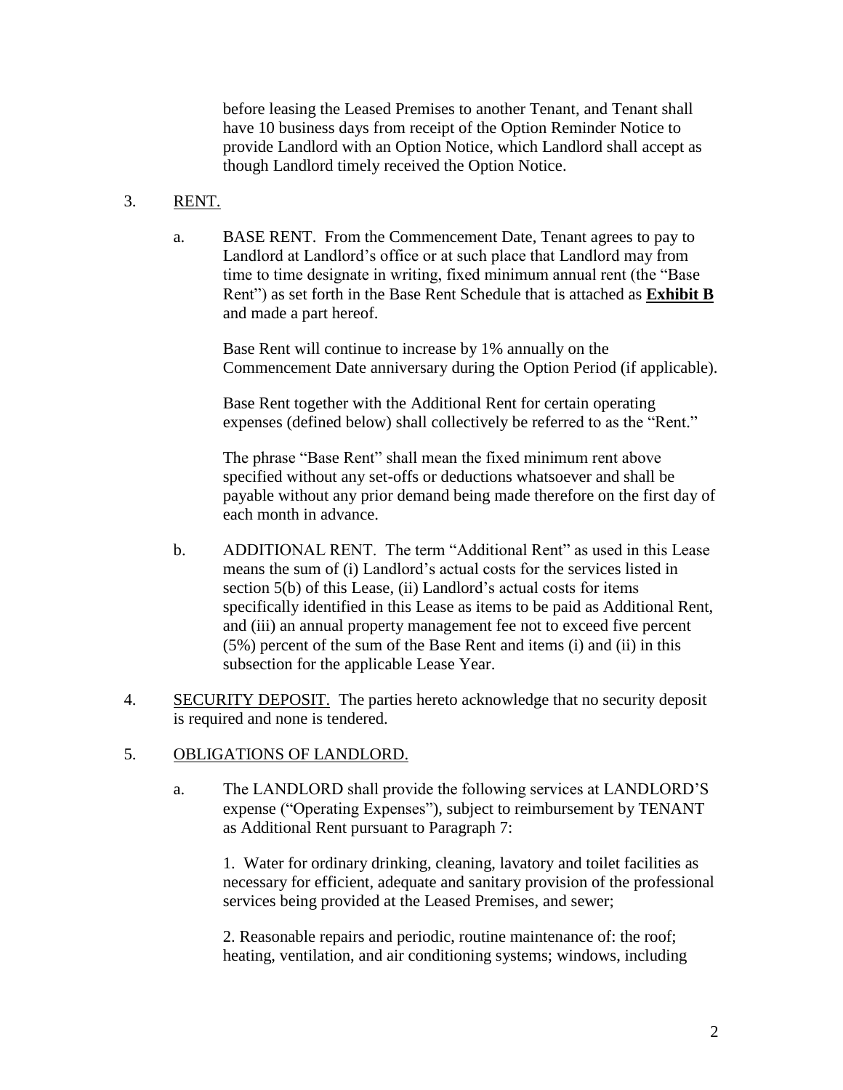before leasing the Leased Premises to another Tenant, and Tenant shall have 10 business days from receipt of the Option Reminder Notice to provide Landlord with an Option Notice, which Landlord shall accept as though Landlord timely received the Option Notice.

## 3. RENT.

a. BASE RENT. From the Commencement Date, Tenant agrees to pay to Landlord at Landlord's office or at such place that Landlord may from time to time designate in writing, fixed minimum annual rent (the "Base Rent") as set forth in the Base Rent Schedule that is attached as **Exhibit B** and made a part hereof.

Base Rent will continue to increase by 1% annually on the Commencement Date anniversary during the Option Period (if applicable).

Base Rent together with the Additional Rent for certain operating expenses (defined below) shall collectively be referred to as the "Rent."

The phrase "Base Rent" shall mean the fixed minimum rent above specified without any set-offs or deductions whatsoever and shall be payable without any prior demand being made therefore on the first day of each month in advance.

- b. ADDITIONAL RENT. The term "Additional Rent" as used in this Lease means the sum of (i) Landlord's actual costs for the services listed in section 5(b) of this Lease, (ii) Landlord's actual costs for items specifically identified in this Lease as items to be paid as Additional Rent, and (iii) an annual property management fee not to exceed five percent (5%) percent of the sum of the Base Rent and items (i) and (ii) in this subsection for the applicable Lease Year.
- 4. SECURITY DEPOSIT. The parties hereto acknowledge that no security deposit is required and none is tendered.

### 5. OBLIGATIONS OF LANDLORD.

a. The LANDLORD shall provide the following services at LANDLORD'S expense ("Operating Expenses"), subject to reimbursement by TENANT as Additional Rent pursuant to Paragraph 7:

1. Water for ordinary drinking, cleaning, lavatory and toilet facilities as necessary for efficient, adequate and sanitary provision of the professional services being provided at the Leased Premises, and sewer;

2. Reasonable repairs and periodic, routine maintenance of: the roof; heating, ventilation, and air conditioning systems; windows, including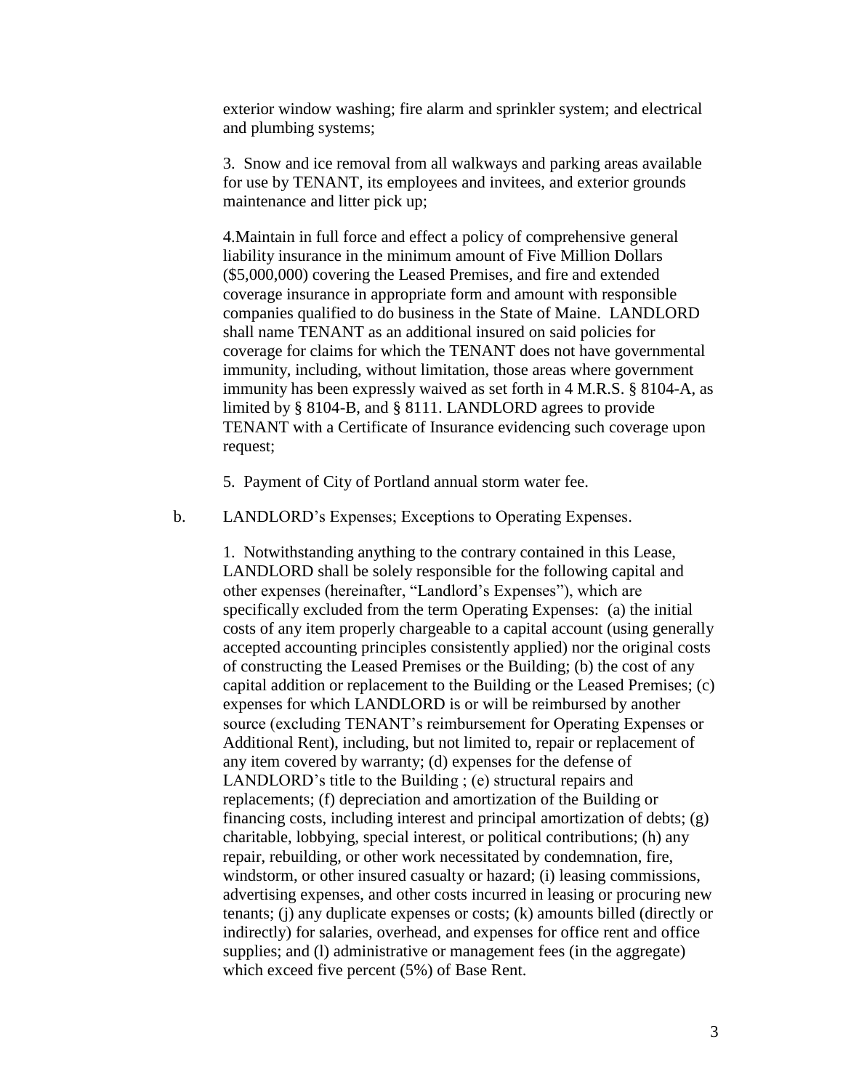exterior window washing; fire alarm and sprinkler system; and electrical and plumbing systems;

3. Snow and ice removal from all walkways and parking areas available for use by TENANT, its employees and invitees, and exterior grounds maintenance and litter pick up;

4.Maintain in full force and effect a policy of comprehensive general liability insurance in the minimum amount of Five Million Dollars (\$5,000,000) covering the Leased Premises, and fire and extended coverage insurance in appropriate form and amount with responsible companies qualified to do business in the State of Maine. LANDLORD shall name TENANT as an additional insured on said policies for coverage for claims for which the TENANT does not have governmental immunity, including, without limitation, those areas where government immunity has been expressly waived as set forth in 4 M.R.S. § 8104-A, as limited by § 8104-B, and § 8111. LANDLORD agrees to provide TENANT with a Certificate of Insurance evidencing such coverage upon request;

5. Payment of City of Portland annual storm water fee.

b. LANDLORD's Expenses; Exceptions to Operating Expenses.

1. Notwithstanding anything to the contrary contained in this Lease, LANDLORD shall be solely responsible for the following capital and other expenses (hereinafter, "Landlord's Expenses"), which are specifically excluded from the term Operating Expenses: (a) the initial costs of any item properly chargeable to a capital account (using generally accepted accounting principles consistently applied) nor the original costs of constructing the Leased Premises or the Building; (b) the cost of any capital addition or replacement to the Building or the Leased Premises; (c) expenses for which LANDLORD is or will be reimbursed by another source (excluding TENANT's reimbursement for Operating Expenses or Additional Rent), including, but not limited to, repair or replacement of any item covered by warranty; (d) expenses for the defense of LANDLORD's title to the Building ; (e) structural repairs and replacements; (f) depreciation and amortization of the Building or financing costs, including interest and principal amortization of debts; (g) charitable, lobbying, special interest, or political contributions; (h) any repair, rebuilding, or other work necessitated by condemnation, fire, windstorm, or other insured casualty or hazard; (i) leasing commissions, advertising expenses, and other costs incurred in leasing or procuring new tenants; (j) any duplicate expenses or costs; (k) amounts billed (directly or indirectly) for salaries, overhead, and expenses for office rent and office supplies; and (I) administrative or management fees (in the aggregate) which exceed five percent (5%) of Base Rent.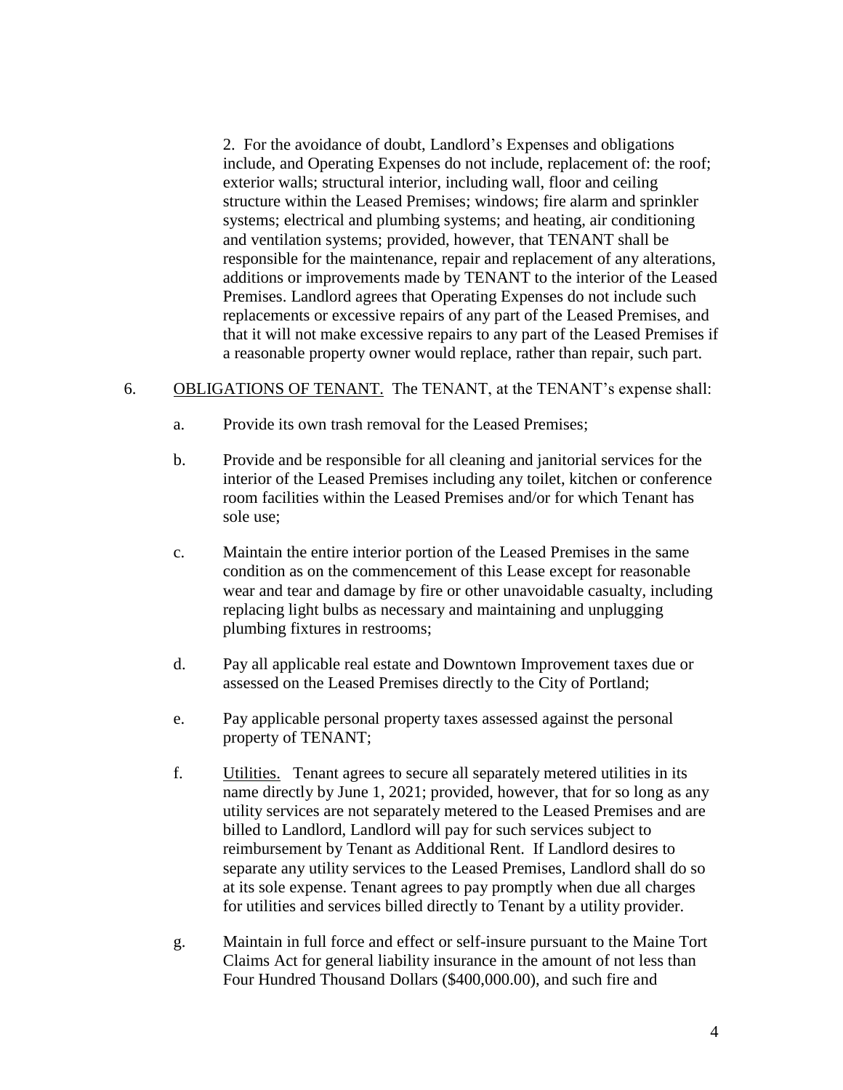2. For the avoidance of doubt, Landlord's Expenses and obligations include, and Operating Expenses do not include, replacement of: the roof; exterior walls; structural interior, including wall, floor and ceiling structure within the Leased Premises; windows; fire alarm and sprinkler systems; electrical and plumbing systems; and heating, air conditioning and ventilation systems; provided, however, that TENANT shall be responsible for the maintenance, repair and replacement of any alterations, additions or improvements made by TENANT to the interior of the Leased Premises. Landlord agrees that Operating Expenses do not include such replacements or excessive repairs of any part of the Leased Premises, and that it will not make excessive repairs to any part of the Leased Premises if a reasonable property owner would replace, rather than repair, such part.

#### 6. OBLIGATIONS OF TENANT. The TENANT, at the TENANT's expense shall:

- a. Provide its own trash removal for the Leased Premises;
- b. Provide and be responsible for all cleaning and janitorial services for the interior of the Leased Premises including any toilet, kitchen or conference room facilities within the Leased Premises and/or for which Tenant has sole use;
- c. Maintain the entire interior portion of the Leased Premises in the same condition as on the commencement of this Lease except for reasonable wear and tear and damage by fire or other unavoidable casualty, including replacing light bulbs as necessary and maintaining and unplugging plumbing fixtures in restrooms;
- d. Pay all applicable real estate and Downtown Improvement taxes due or assessed on the Leased Premises directly to the City of Portland;
- e. Pay applicable personal property taxes assessed against the personal property of TENANT;
- f. Utilities. Tenant agrees to secure all separately metered utilities in its name directly by June 1, 2021; provided, however, that for so long as any utility services are not separately metered to the Leased Premises and are billed to Landlord, Landlord will pay for such services subject to reimbursement by Tenant as Additional Rent. If Landlord desires to separate any utility services to the Leased Premises, Landlord shall do so at its sole expense. Tenant agrees to pay promptly when due all charges for utilities and services billed directly to Tenant by a utility provider.
- g. Maintain in full force and effect or self-insure pursuant to the Maine Tort Claims Act for general liability insurance in the amount of not less than Four Hundred Thousand Dollars (\$400,000.00), and such fire and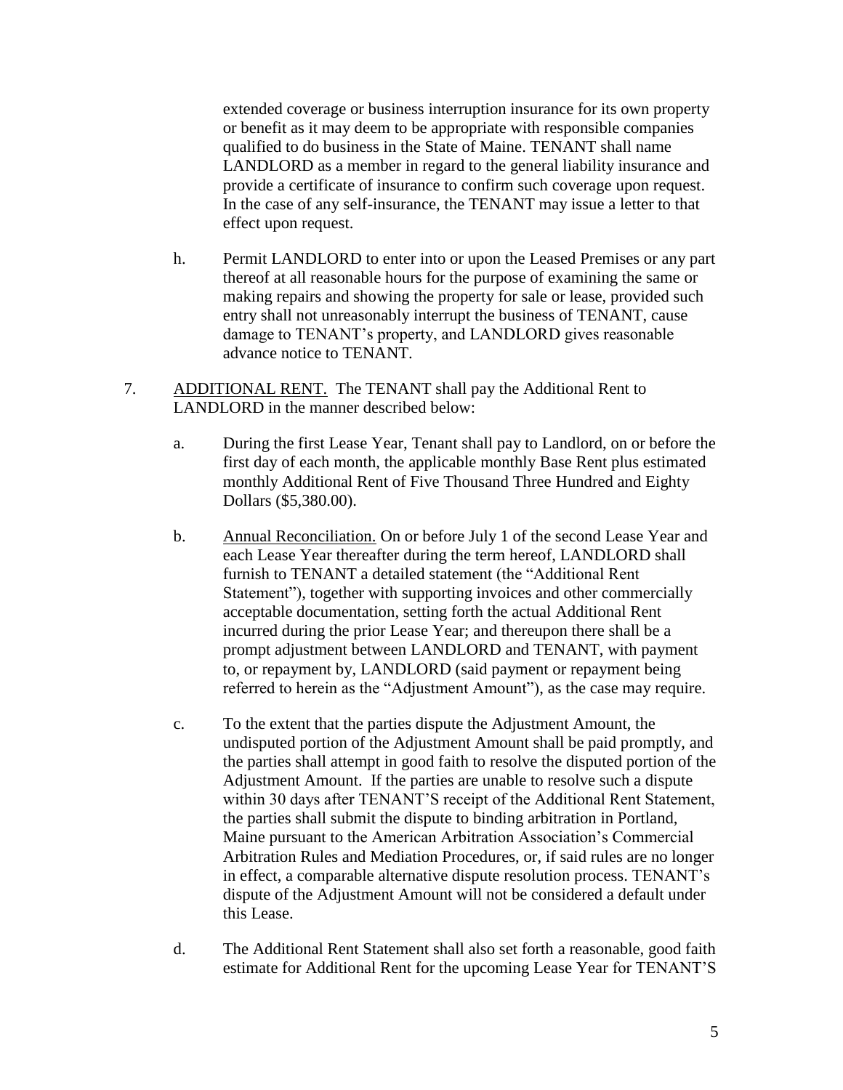extended coverage or business interruption insurance for its own property or benefit as it may deem to be appropriate with responsible companies qualified to do business in the State of Maine. TENANT shall name LANDLORD as a member in regard to the general liability insurance and provide a certificate of insurance to confirm such coverage upon request. In the case of any self-insurance, the TENANT may issue a letter to that effect upon request.

- h. Permit LANDLORD to enter into or upon the Leased Premises or any part thereof at all reasonable hours for the purpose of examining the same or making repairs and showing the property for sale or lease, provided such entry shall not unreasonably interrupt the business of TENANT, cause damage to TENANT's property, and LANDLORD gives reasonable advance notice to TENANT.
- 7. ADDITIONAL RENT. The TENANT shall pay the Additional Rent to LANDLORD in the manner described below:
	- a. During the first Lease Year, Tenant shall pay to Landlord, on or before the first day of each month, the applicable monthly Base Rent plus estimated monthly Additional Rent of Five Thousand Three Hundred and Eighty Dollars (\$5,380.00).
	- b. Annual Reconciliation. On or before July 1 of the second Lease Year and each Lease Year thereafter during the term hereof, LANDLORD shall furnish to TENANT a detailed statement (the "Additional Rent Statement"), together with supporting invoices and other commercially acceptable documentation, setting forth the actual Additional Rent incurred during the prior Lease Year; and thereupon there shall be a prompt adjustment between LANDLORD and TENANT, with payment to, or repayment by, LANDLORD (said payment or repayment being referred to herein as the "Adjustment Amount"), as the case may require.
	- c. To the extent that the parties dispute the Adjustment Amount, the undisputed portion of the Adjustment Amount shall be paid promptly, and the parties shall attempt in good faith to resolve the disputed portion of the Adjustment Amount. If the parties are unable to resolve such a dispute within 30 days after TENANT'S receipt of the Additional Rent Statement, the parties shall submit the dispute to binding arbitration in Portland, Maine pursuant to the American Arbitration Association's Commercial Arbitration Rules and Mediation Procedures, or, if said rules are no longer in effect, a comparable alternative dispute resolution process. TENANT's dispute of the Adjustment Amount will not be considered a default under this Lease.
	- d. The Additional Rent Statement shall also set forth a reasonable, good faith estimate for Additional Rent for the upcoming Lease Year for TENANT'S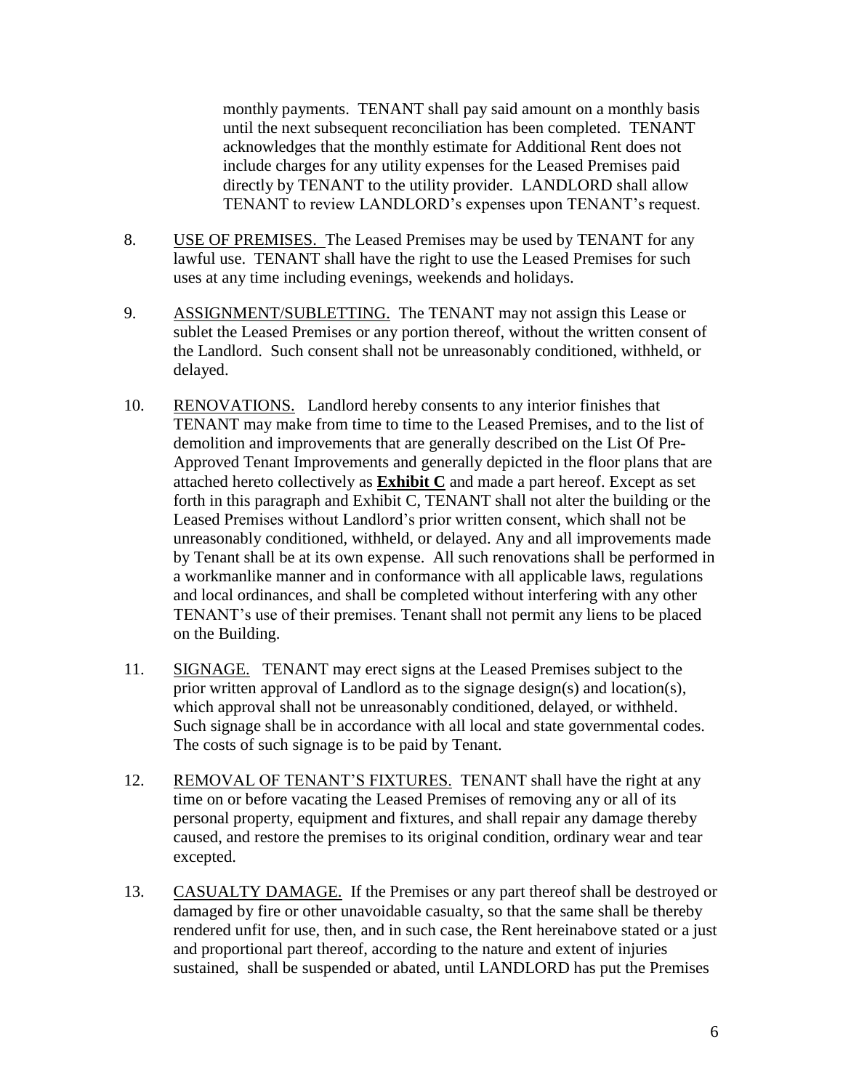monthly payments. TENANT shall pay said amount on a monthly basis until the next subsequent reconciliation has been completed. TENANT acknowledges that the monthly estimate for Additional Rent does not include charges for any utility expenses for the Leased Premises paid directly by TENANT to the utility provider. LANDLORD shall allow TENANT to review LANDLORD's expenses upon TENANT's request.

- 8. USE OF PREMISES. The Leased Premises may be used by TENANT for any lawful use. TENANT shall have the right to use the Leased Premises for such uses at any time including evenings, weekends and holidays.
- 9. ASSIGNMENT/SUBLETTING. The TENANT may not assign this Lease or sublet the Leased Premises or any portion thereof, without the written consent of the Landlord. Such consent shall not be unreasonably conditioned, withheld, or delayed.
- 10. RENOVATIONS. Landlord hereby consents to any interior finishes that TENANT may make from time to time to the Leased Premises, and to the list of demolition and improvements that are generally described on the List Of Pre-Approved Tenant Improvements and generally depicted in the floor plans that are attached hereto collectively as **Exhibit C** and made a part hereof. Except as set forth in this paragraph and Exhibit C, TENANT shall not alter the building or the Leased Premises without Landlord's prior written consent, which shall not be unreasonably conditioned, withheld, or delayed. Any and all improvements made by Tenant shall be at its own expense. All such renovations shall be performed in a workmanlike manner and in conformance with all applicable laws, regulations and local ordinances, and shall be completed without interfering with any other TENANT's use of their premises. Tenant shall not permit any liens to be placed on the Building.
- 11. SIGNAGE. TENANT may erect signs at the Leased Premises subject to the prior written approval of Landlord as to the signage design(s) and location(s), which approval shall not be unreasonably conditioned, delayed, or withheld. Such signage shall be in accordance with all local and state governmental codes. The costs of such signage is to be paid by Tenant.
- 12. REMOVAL OF TENANT'S FIXTURES. TENANT shall have the right at any time on or before vacating the Leased Premises of removing any or all of its personal property, equipment and fixtures, and shall repair any damage thereby caused, and restore the premises to its original condition, ordinary wear and tear excepted.
- 13. CASUALTY DAMAGE. If the Premises or any part thereof shall be destroyed or damaged by fire or other unavoidable casualty, so that the same shall be thereby rendered unfit for use, then, and in such case, the Rent hereinabove stated or a just and proportional part thereof, according to the nature and extent of injuries sustained, shall be suspended or abated, until LANDLORD has put the Premises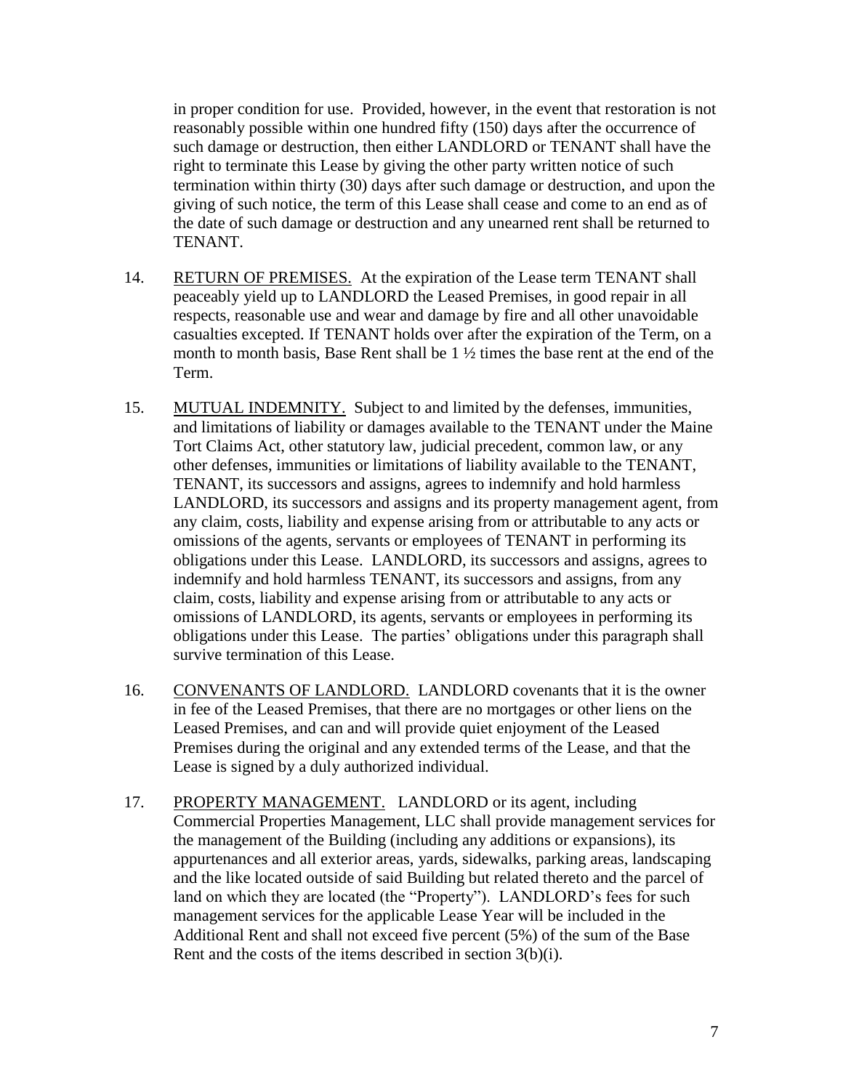in proper condition for use. Provided, however, in the event that restoration is not reasonably possible within one hundred fifty (150) days after the occurrence of such damage or destruction, then either LANDLORD or TENANT shall have the right to terminate this Lease by giving the other party written notice of such termination within thirty (30) days after such damage or destruction, and upon the giving of such notice, the term of this Lease shall cease and come to an end as of the date of such damage or destruction and any unearned rent shall be returned to TENANT.

- 14. RETURN OF PREMISES. At the expiration of the Lease term TENANT shall peaceably yield up to LANDLORD the Leased Premises, in good repair in all respects, reasonable use and wear and damage by fire and all other unavoidable casualties excepted. If TENANT holds over after the expiration of the Term, on a month to month basis, Base Rent shall be 1 ½ times the base rent at the end of the Term.
- 15. MUTUAL INDEMNITY. Subject to and limited by the defenses, immunities, and limitations of liability or damages available to the TENANT under the Maine Tort Claims Act, other statutory law, judicial precedent, common law, or any other defenses, immunities or limitations of liability available to the TENANT, TENANT, its successors and assigns, agrees to indemnify and hold harmless LANDLORD, its successors and assigns and its property management agent, from any claim, costs, liability and expense arising from or attributable to any acts or omissions of the agents, servants or employees of TENANT in performing its obligations under this Lease. LANDLORD, its successors and assigns, agrees to indemnify and hold harmless TENANT, its successors and assigns, from any claim, costs, liability and expense arising from or attributable to any acts or omissions of LANDLORD, its agents, servants or employees in performing its obligations under this Lease. The parties' obligations under this paragraph shall survive termination of this Lease.
- 16. CONVENANTS OF LANDLORD. LANDLORD covenants that it is the owner in fee of the Leased Premises, that there are no mortgages or other liens on the Leased Premises, and can and will provide quiet enjoyment of the Leased Premises during the original and any extended terms of the Lease, and that the Lease is signed by a duly authorized individual.
- 17. PROPERTY MANAGEMENT. LANDLORD or its agent, including Commercial Properties Management, LLC shall provide management services for the management of the Building (including any additions or expansions), its appurtenances and all exterior areas, yards, sidewalks, parking areas, landscaping and the like located outside of said Building but related thereto and the parcel of land on which they are located (the "Property"). LANDLORD's fees for such management services for the applicable Lease Year will be included in the Additional Rent and shall not exceed five percent (5%) of the sum of the Base Rent and the costs of the items described in section 3(b)(i).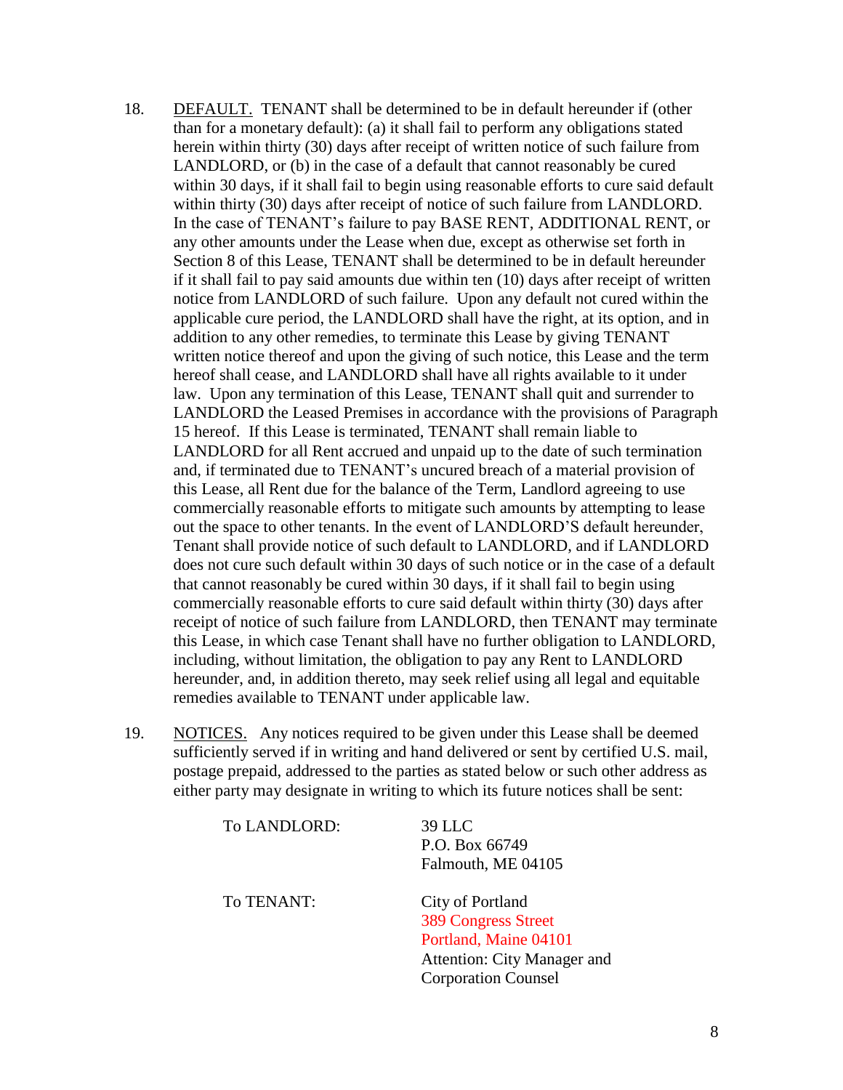- 18. DEFAULT. TENANT shall be determined to be in default hereunder if (other than for a monetary default): (a) it shall fail to perform any obligations stated herein within thirty (30) days after receipt of written notice of such failure from LANDLORD, or (b) in the case of a default that cannot reasonably be cured within 30 days, if it shall fail to begin using reasonable efforts to cure said default within thirty (30) days after receipt of notice of such failure from LANDLORD. In the case of TENANT's failure to pay BASE RENT, ADDITIONAL RENT, or any other amounts under the Lease when due, except as otherwise set forth in Section 8 of this Lease, TENANT shall be determined to be in default hereunder if it shall fail to pay said amounts due within ten (10) days after receipt of written notice from LANDLORD of such failure. Upon any default not cured within the applicable cure period, the LANDLORD shall have the right, at its option, and in addition to any other remedies, to terminate this Lease by giving TENANT written notice thereof and upon the giving of such notice, this Lease and the term hereof shall cease, and LANDLORD shall have all rights available to it under law. Upon any termination of this Lease, TENANT shall quit and surrender to LANDLORD the Leased Premises in accordance with the provisions of Paragraph 15 hereof. If this Lease is terminated, TENANT shall remain liable to LANDLORD for all Rent accrued and unpaid up to the date of such termination and, if terminated due to TENANT's uncured breach of a material provision of this Lease, all Rent due for the balance of the Term, Landlord agreeing to use commercially reasonable efforts to mitigate such amounts by attempting to lease out the space to other tenants. In the event of LANDLORD'S default hereunder, Tenant shall provide notice of such default to LANDLORD, and if LANDLORD does not cure such default within 30 days of such notice or in the case of a default that cannot reasonably be cured within 30 days, if it shall fail to begin using commercially reasonable efforts to cure said default within thirty (30) days after receipt of notice of such failure from LANDLORD, then TENANT may terminate this Lease, in which case Tenant shall have no further obligation to LANDLORD, including, without limitation, the obligation to pay any Rent to LANDLORD hereunder, and, in addition thereto, may seek relief using all legal and equitable remedies available to TENANT under applicable law.
- 19. NOTICES. Any notices required to be given under this Lease shall be deemed sufficiently served if in writing and hand delivered or sent by certified U.S. mail, postage prepaid, addressed to the parties as stated below or such other address as either party may designate in writing to which its future notices shall be sent:

| To LANDLORD: | <b>39 LLC</b>               |
|--------------|-----------------------------|
|              | P.O. Box 66749              |
|              | Falmouth, ME 04105          |
| To TENANT:   | City of Portland            |
|              | <b>389 Congress Street</b>  |
|              | Portland, Maine 04101       |
|              | Attention: City Manager and |
|              | <b>Corporation Counsel</b>  |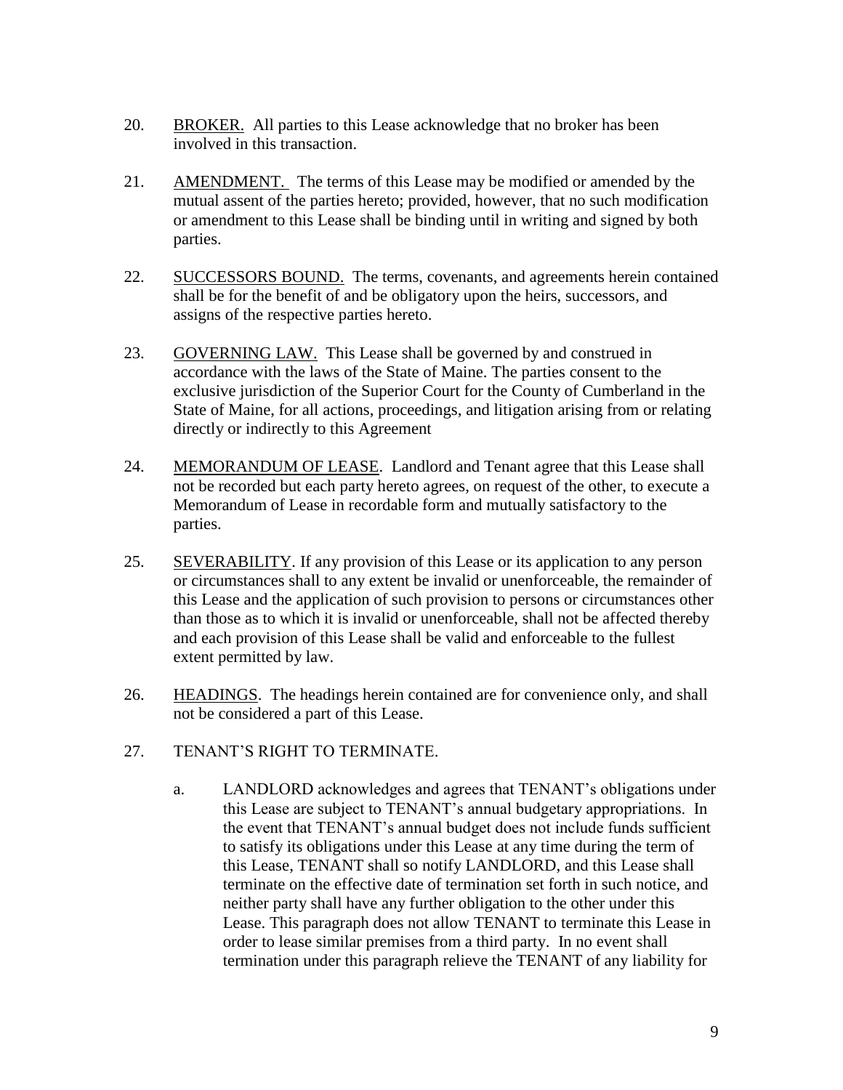- 20. BROKER. All parties to this Lease acknowledge that no broker has been involved in this transaction.
- 21. AMENDMENT. The terms of this Lease may be modified or amended by the mutual assent of the parties hereto; provided, however, that no such modification or amendment to this Lease shall be binding until in writing and signed by both parties.
- 22. SUCCESSORS BOUND. The terms, covenants, and agreements herein contained shall be for the benefit of and be obligatory upon the heirs, successors, and assigns of the respective parties hereto.
- 23. GOVERNING LAW. This Lease shall be governed by and construed in accordance with the laws of the State of Maine. The parties consent to the exclusive jurisdiction of the Superior Court for the County of Cumberland in the State of Maine, for all actions, proceedings, and litigation arising from or relating directly or indirectly to this Agreement
- 24. MEMORANDUM OF LEASE. Landlord and Tenant agree that this Lease shall not be recorded but each party hereto agrees, on request of the other, to execute a Memorandum of Lease in recordable form and mutually satisfactory to the parties.
- 25. SEVERABILITY. If any provision of this Lease or its application to any person or circumstances shall to any extent be invalid or unenforceable, the remainder of this Lease and the application of such provision to persons or circumstances other than those as to which it is invalid or unenforceable, shall not be affected thereby and each provision of this Lease shall be valid and enforceable to the fullest extent permitted by law.
- 26. HEADINGS. The headings herein contained are for convenience only, and shall not be considered a part of this Lease.
- 27. TENANT'S RIGHT TO TERMINATE.
	- a. LANDLORD acknowledges and agrees that TENANT's obligations under this Lease are subject to TENANT's annual budgetary appropriations. In the event that TENANT's annual budget does not include funds sufficient to satisfy its obligations under this Lease at any time during the term of this Lease, TENANT shall so notify LANDLORD, and this Lease shall terminate on the effective date of termination set forth in such notice, and neither party shall have any further obligation to the other under this Lease. This paragraph does not allow TENANT to terminate this Lease in order to lease similar premises from a third party. In no event shall termination under this paragraph relieve the TENANT of any liability for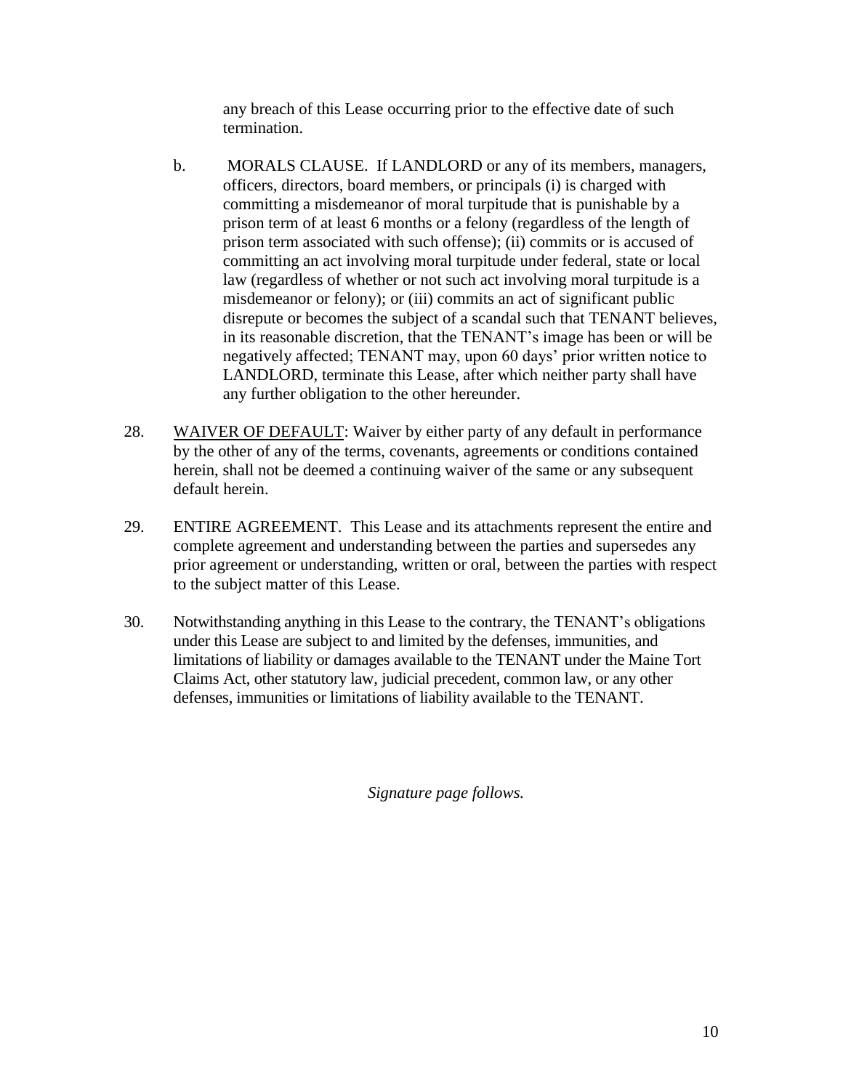any breach of this Lease occurring prior to the effective date of such termination.

- b. MORALS CLAUSE. If LANDLORD or any of its members, managers, officers, directors, board members, or principals (i) is charged with committing a misdemeanor of moral turpitude that is punishable by a prison term of at least 6 months or a felony (regardless of the length of prison term associated with such offense); (ii) commits or is accused of committing an act involving moral turpitude under federal, state or local law (regardless of whether or not such act involving moral turpitude is a misdemeanor or felony); or (iii) commits an act of significant public disrepute or becomes the subject of a scandal such that TENANT believes, in its reasonable discretion, that the TENANT's image has been or will be negatively affected; TENANT may, upon 60 days' prior written notice to LANDLORD, terminate this Lease, after which neither party shall have any further obligation to the other hereunder.
- 28. WAIVER OF DEFAULT: Waiver by either party of any default in performance by the other of any of the terms, covenants, agreements or conditions contained herein, shall not be deemed a continuing waiver of the same or any subsequent default herein.
- 29. ENTIRE AGREEMENT. This Lease and its attachments represent the entire and complete agreement and understanding between the parties and supersedes any prior agreement or understanding, written or oral, between the parties with respect to the subject matter of this Lease.
- 30. Notwithstanding anything in this Lease to the contrary, the TENANT's obligations under this Lease are subject to and limited by the defenses, immunities, and limitations of liability or damages available to the TENANT under the Maine Tort Claims Act, other statutory law, judicial precedent, common law, or any other defenses, immunities or limitations of liability available to the TENANT.

*Signature page follows.*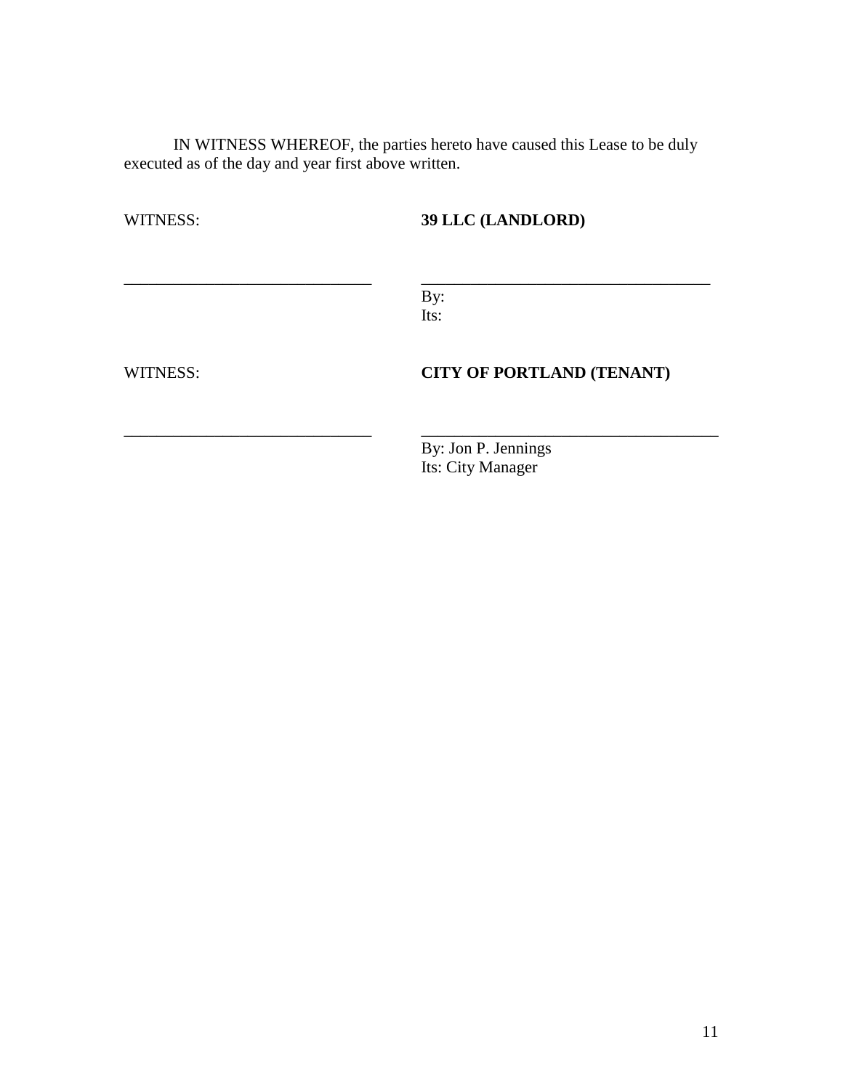IN WITNESS WHEREOF, the parties hereto have caused this Lease to be duly executed as of the day and year first above written.

WITNESS: **39 LLC (LANDLORD)** 

By: Its:

\_\_\_\_\_\_\_\_\_\_\_\_\_\_\_\_\_\_\_\_\_\_\_\_\_\_\_\_\_\_ \_\_\_\_\_\_\_\_\_\_\_\_\_\_\_\_\_\_\_\_\_\_\_\_\_\_\_\_\_\_\_\_\_\_\_

\_\_\_\_\_\_\_\_\_\_\_\_\_\_\_\_\_\_\_\_\_\_\_\_\_\_\_\_\_\_ \_\_\_\_\_\_\_\_\_\_\_\_\_\_\_\_\_\_\_\_\_\_\_\_\_\_\_\_\_\_\_\_\_\_\_\_

## WITNESS: **CITY OF PORTLAND (TENANT)**

By: Jon P. Jennings Its: City Manager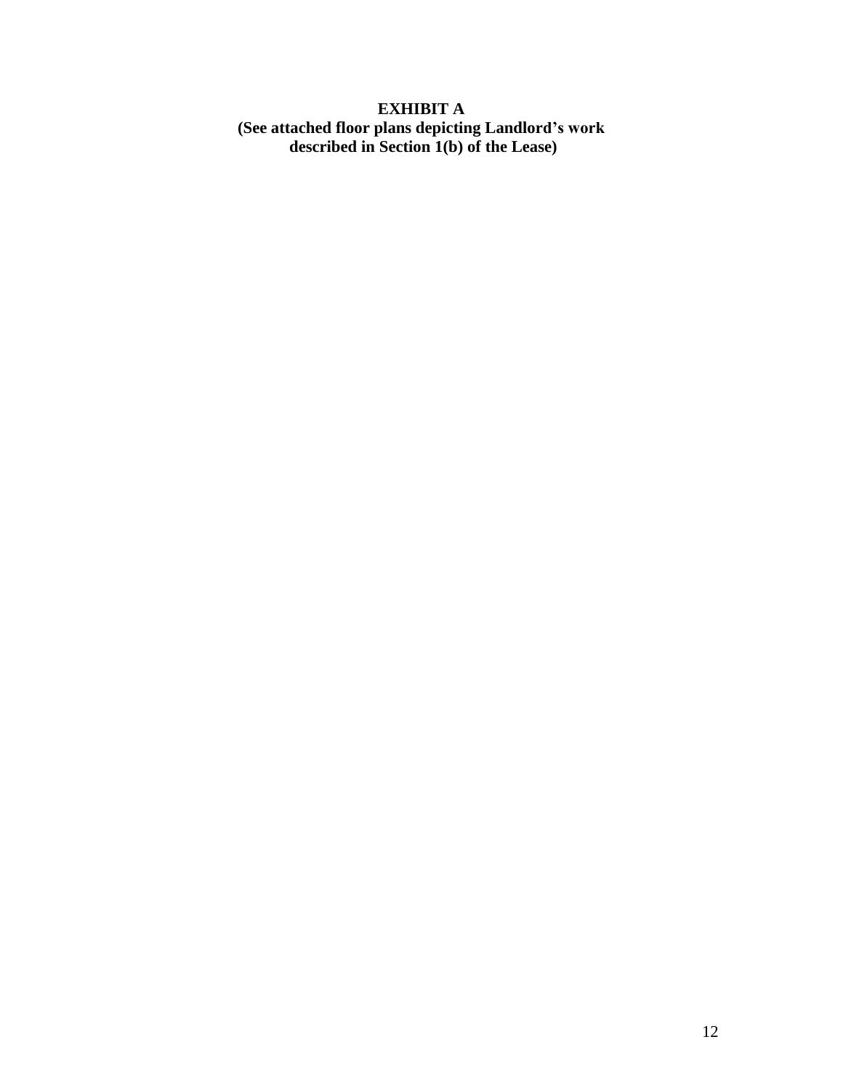# **EXHIBIT A (See attached floor plans depicting Landlord's work described in Section 1(b) of the Lease)**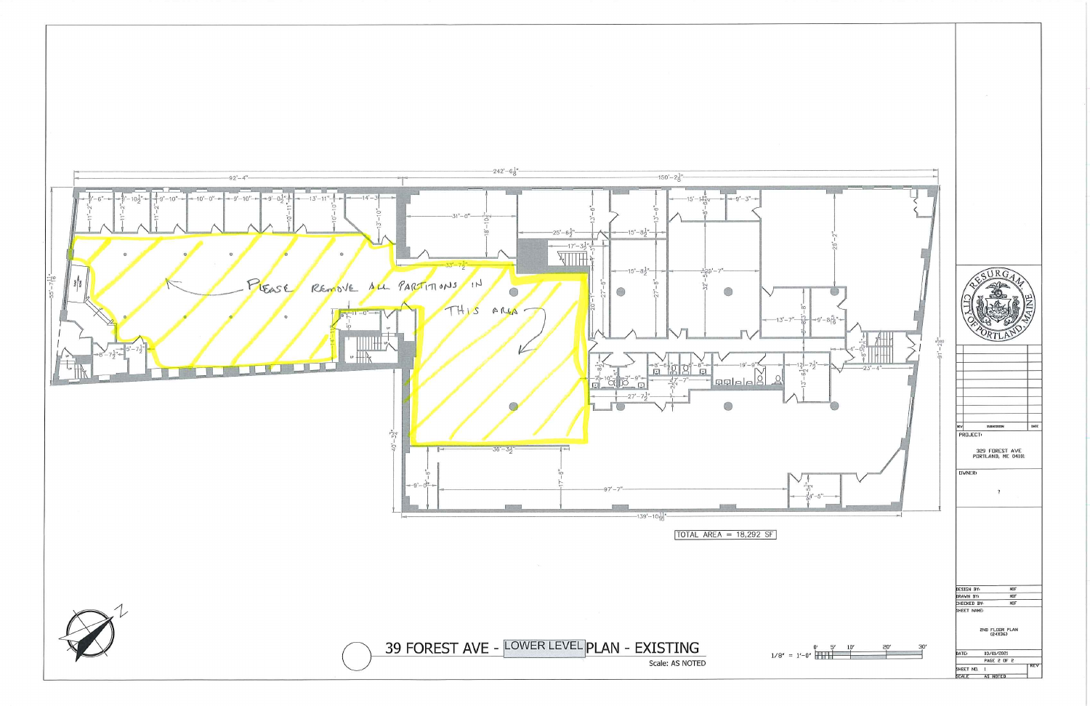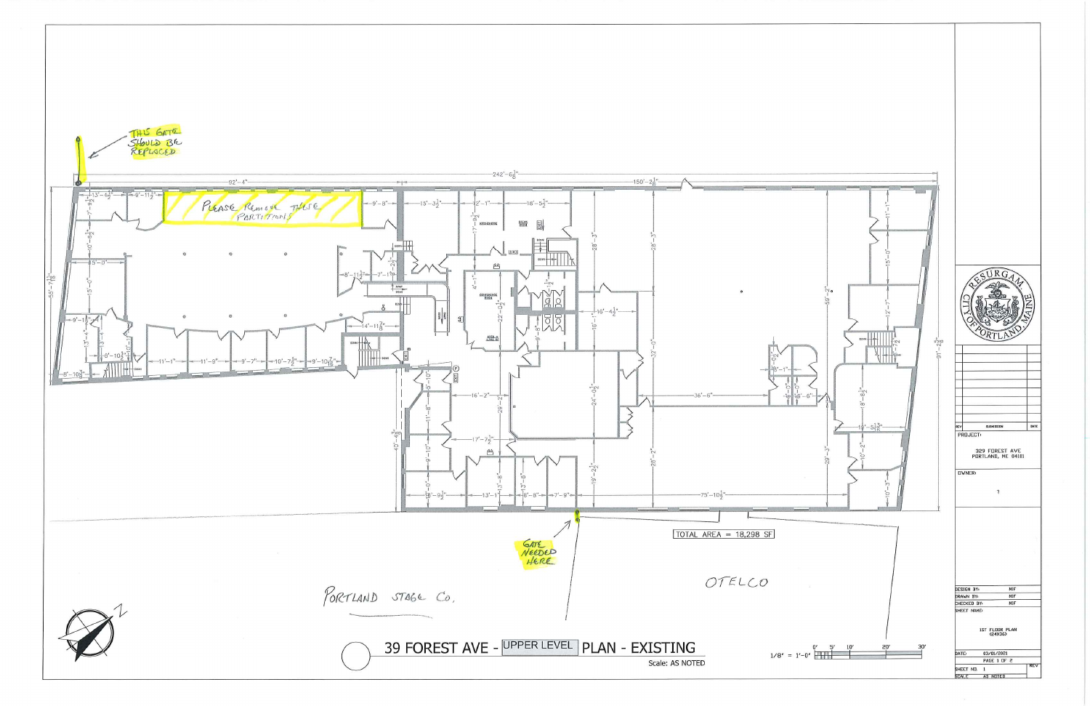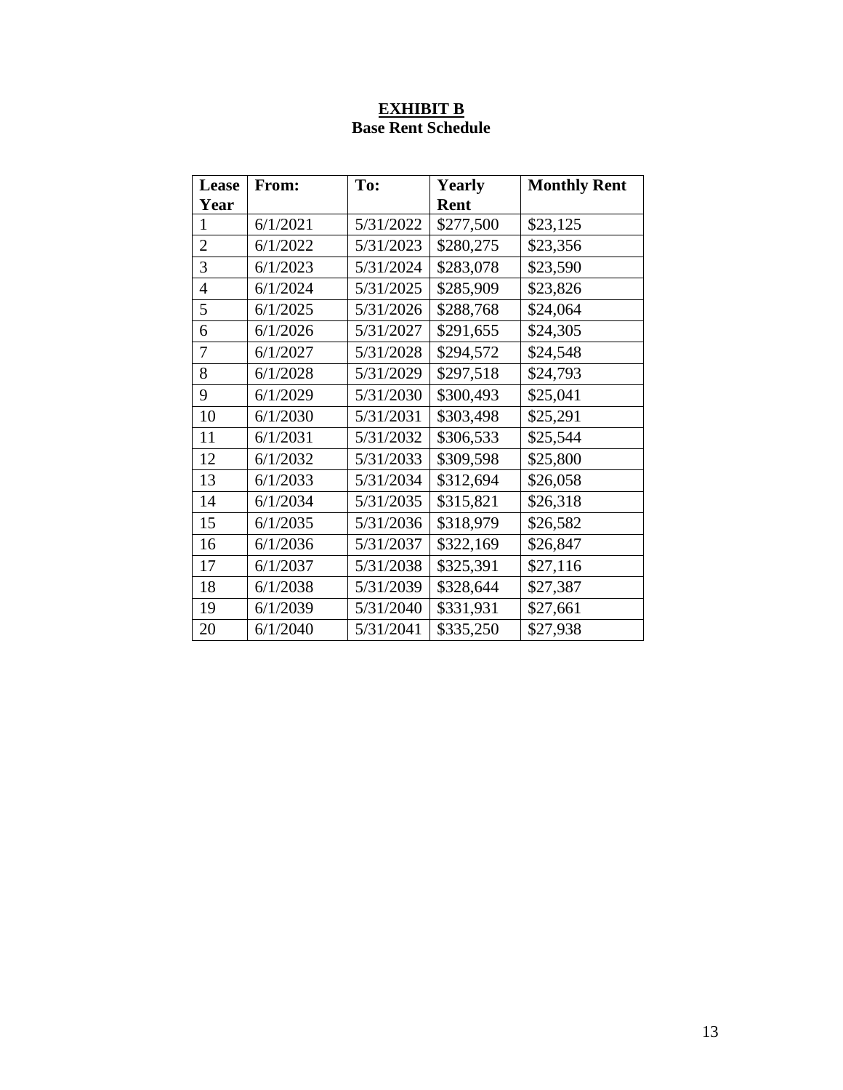# **EXHIBIT B Base Rent Schedule**

| Lease          | From:    | To:       | <b>Yearly</b> | <b>Monthly Rent</b> |
|----------------|----------|-----------|---------------|---------------------|
| Year           |          |           | Rent          |                     |
| 1              | 6/1/2021 | 5/31/2022 | \$277,500     | \$23,125            |
| $\overline{2}$ | 6/1/2022 | 5/31/2023 | \$280,275     | \$23,356            |
| 3              | 6/1/2023 | 5/31/2024 | \$283,078     | \$23,590            |
| $\overline{4}$ | 6/1/2024 | 5/31/2025 | \$285,909     | \$23,826            |
| 5              | 6/1/2025 | 5/31/2026 | \$288,768     | \$24,064            |
| 6              | 6/1/2026 | 5/31/2027 | \$291,655     | \$24,305            |
| 7              | 6/1/2027 | 5/31/2028 | \$294,572     | \$24,548            |
| 8              | 6/1/2028 | 5/31/2029 | \$297,518     | \$24,793            |
| 9              | 6/1/2029 | 5/31/2030 | \$300,493     | \$25,041            |
| 10             | 6/1/2030 | 5/31/2031 | \$303,498     | \$25,291            |
| 11             | 6/1/2031 | 5/31/2032 | \$306,533     | \$25,544            |
| 12             | 6/1/2032 | 5/31/2033 | \$309,598     | \$25,800            |
| 13             | 6/1/2033 | 5/31/2034 | \$312,694     | \$26,058            |
| 14             | 6/1/2034 | 5/31/2035 | \$315,821     | \$26,318            |
| 15             | 6/1/2035 | 5/31/2036 | \$318,979     | \$26,582            |
| 16             | 6/1/2036 | 5/31/2037 | \$322,169     | \$26,847            |
| 17             | 6/1/2037 | 5/31/2038 | \$325,391     | \$27,116            |
| 18             | 6/1/2038 | 5/31/2039 | \$328,644     | \$27,387            |
| 19             | 6/1/2039 | 5/31/2040 | \$331,931     | \$27,661            |
| 20             | 6/1/2040 | 5/31/2041 | \$335,250     | \$27,938            |